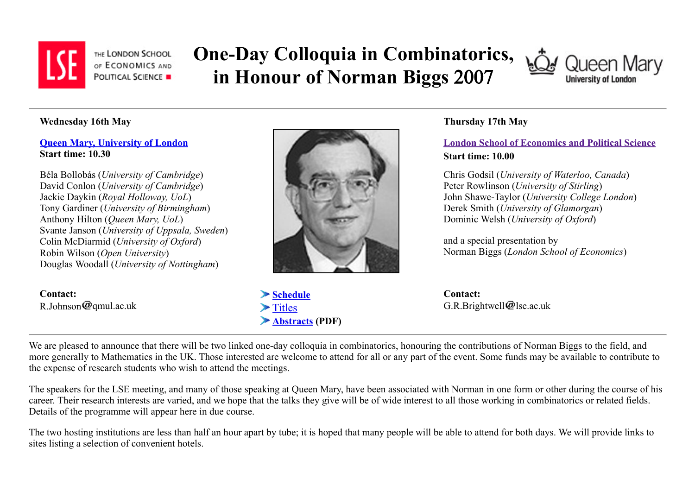

THE LONDON SCHOOL OF ECONOMICS AND **POLITICAL SCIENCE** 

# One-Day Colloquia in Combinatorics, in Honour of Norman Biggs 2007



#### Wednesday 16th May

#### [Queen Mary, University of London](http://www.maths.qmul.ac.uk/) Start time: 10.30

Béla Bollobás (University of Cambridge) David Conlon (University of Cambridge) Jackie Daykin (Royal Holloway, UoL) Tony Gardiner (University of Birmingham) Anthony Hilton (Queen Mary, UoL) Svante Janson (University of Uppsala, Sweden) Colin McDiarmid (University of Oxford) Robin Wilson (Open University) Douglas Woodall (University of Nottingham)

Contact:  $R.Johnson$   $Q$  qmul.ac.uk



 $\blacktriangleright$  [Schedule](http://www.cdam.lse.ac.uk/biggsfest_2007_schedule.html) **[Titles](http://www.cdam.lse.ac.uk/biggsfest_2007_titles.html)** [Abstracts](http://www.cdam.lse.ac.uk/biggsfest_2007_abstracts.pdf) (PDF)

# Thursday 17th May

# [London School of Economics and Political Science](http://www.maths.lse.ac.uk/) Start time: 10.00

Chris Godsil (University of Waterloo, Canada) Peter Rowlinson (University of Stirling) John Shawe-Taylor (University College London) Derek Smith (University of Glamorgan) Dominic Welsh (University of Oxford)

and a special presentation by Norman Biggs (London School of Economics)

Contact:  $G.R.Brightwell@$ lse.ac.uk

We are pleased to announce that there will be two linked one-day colloquia in combinatorics, honouring the contributions of Norman Biggs to the field, and more generally to Mathematics in the UK. Those interested are welcome to attend for all or any part of the event. Some funds may be available to contribute to the expense of research students who wish to attend the meetings.

The speakers for the LSE meeting, and many of those speaking at Queen Mary, have been associated with Norman in one form or other during the course of his career. Their research interests are varied, and we hope that the talks they give will be of wide interest to all those working in combinatorics or related fields. Details of the programme will appear here in due course.

The two hosting institutions are less than half an hour apart by tube; it is hoped that many people will be able to attend for both days. We will provide links to sites listing a selection of convenient hotels.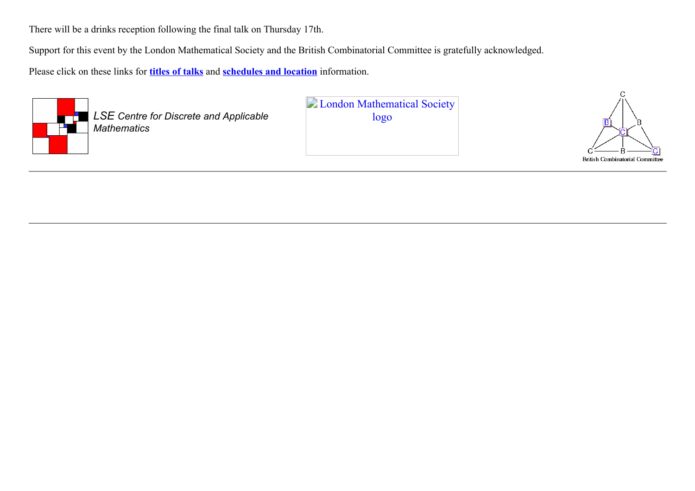There will be a drinks reception following the final talk on Thursday 17th.

Support for this event by the London Mathematical Society and the British Combinatorial Committee is gratefully acknowledged.

Please click on these links for **[titles of talks](http://www.cdam.lse.ac.uk/biggsfest_2007_titles.html)** and **[schedules and location](http://www.cdam.lse.ac.uk/biggsfest_2007_schedule.html)** information.



**LSE Centre for Discrete and Applicable Mathematics** 

**D** [London Mathematical Society](http://www.lms.ac.uk/) logo

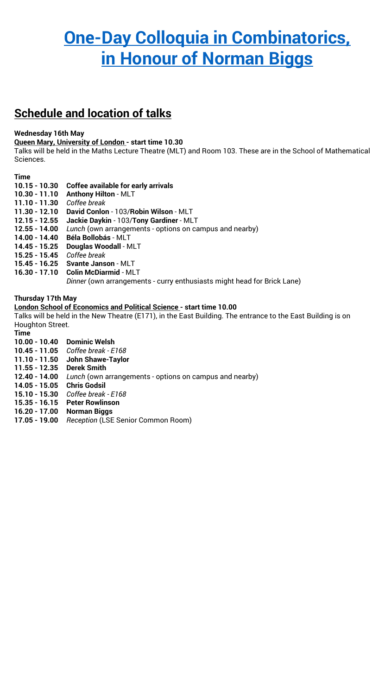# **[One-Day Colloquia in Combinatorics,](http://www.cdam.lse.ac.uk/biggsfest_2007.html) in Honour of Norman Biggs**

# **Schedule and location of talks**

#### **Wednesday 16th May**

**Queen Mary, University of London - start time 10.30**

Talks will be held in the Maths Lecture Theatre (MLT) and Room 103. These are in the School of Mathematical Sciences.

#### **Time**

- **10.15 - 10.30 Coffee available for early arrivals**
- **10.30 - 11.10 Anthony Hilton**  MLT
- **11.10 - 11.30** *Coffee break*
- **11.30 - 12.10 David Conlon**  103/**Robin Wilson**  MLT
- **12.15 - 12.55 Jackie Daykin**  103/**Tony Gardiner**  MLT
- **12.55 - 14.00** *Lunch* (own arrangements options on campus and nearby)
- **14.00 - 14.40 Béla Bollobás** MLT
- **14.45 - 15.25 Douglas Woodall**  MLT
- **15.25 - 15.45** *Coffee break*
- **15.45 - 16.25 Svante Janson**  MLT
- **16.30 - 17.10 Colin McDiarmid** MLT

*Dinner* (own arrangements - curry enthusiasts might head for Brick Lane)

#### **Thursday 17th May**

#### **London School of Economics and Political Science - start time 10.00**

Talks will be held in the New Theatre (E171), in the East Building. The entrance to the East Building is on Houghton Street.

- **Time**
- **10.00 - 10.40 Dominic Welsh**
- **10.45 - 11.05** *Coffee break E168*
- **11.10 - 11.50 John Shawe-Taylor**
- **11.55 - 12.35 Derek Smith**
- **12.40 - 14.00** *Lunch* (own arrangements options on campus and nearby)
- **14.05 - 15.05 Chris Godsil**
- **15.10 - 15.30** *Coffee break E168*
- **15.35 - 16.15 Peter Rowlinson**
- **16.20 - 17.00 Norman Biggs**
- **17.05 - 19.00** *Reception* (LSE Senior Common Room)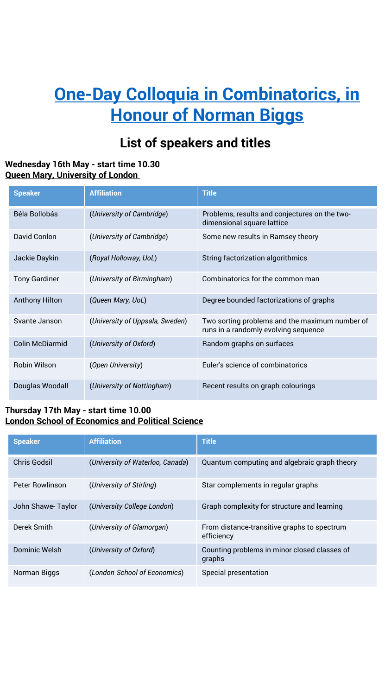# **One-Day Colloquia in Combinatorics, in Honour of Norman Biggs**

# **List of speakers and titles**

### **Wednesday 16th May - start time 10.30 Queen Mary, University of London**

| <b>Speaker</b>         | <b>Affiliation</b>              | <b>Title</b>                                                                           |
|------------------------|---------------------------------|----------------------------------------------------------------------------------------|
| Béla Bollobás          | (University of Cambridge)       | Problems, results and conjectures on the two-<br>dimensional square lattice            |
| David Conlon           | (University of Cambridge)       | Some new results in Ramsey theory                                                      |
| Jackie Daykin          | (Royal Holloway, UoL)           | String factorization algorithmics                                                      |
| <b>Tony Gardiner</b>   | (University of Birmingham)      | Combinatorics for the common man                                                       |
| <b>Anthony Hilton</b>  | (Queen Mary, UoL)               | Degree bounded factorizations of graphs                                                |
| Svante Janson          | (University of Uppsala, Sweden) | Two sorting problems and the maximum number of<br>runs in a randomly evolving sequence |
| <b>Colin McDiarmid</b> | (University of Oxford)          | Random graphs on surfaces                                                              |
| <b>Robin Wilson</b>    | (Open University)               | Euler's science of combinatorics                                                       |
| Douglas Woodall        | (University of Nottingham)      | Recent results on graph colourings                                                     |

# **Thursday 17th May - start time 10.00 London School of Economics and Political Science**

| <b>Speaker</b>         | <b>Affiliation</b>               | <b>Title</b>                                              |
|------------------------|----------------------------------|-----------------------------------------------------------|
| <b>Chris Godsil</b>    | (University of Waterloo, Canada) | Quantum computing and algebraic graph theory              |
| <b>Peter Rowlinson</b> | (University of Stirling)         | Star complements in regular graphs                        |
| John Shawe-Taylor      | (University College London)      | Graph complexity for structure and learning               |
| Derek Smith            | (University of Glamorgan)        | From distance-transitive graphs to spectrum<br>efficiency |
| <b>Dominic Welsh</b>   | (University of Oxford)           | Counting problems in minor closed classes of<br>graphs    |
| Norman Biggs           | (London School of Economics)     | Special presentation                                      |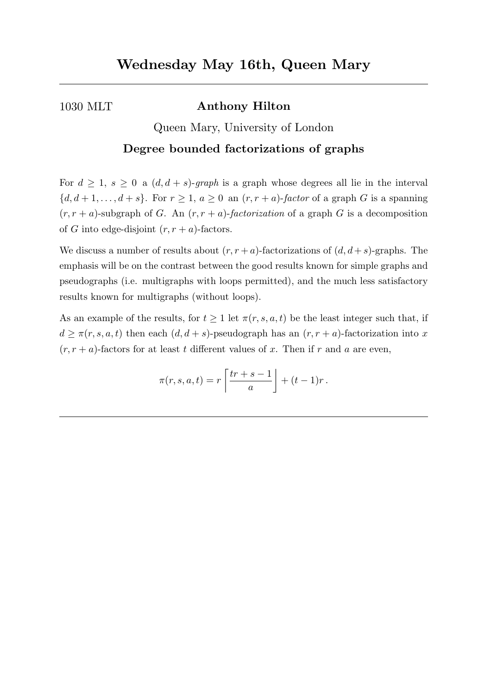### 1030 MLT Anthony Hilton

# Queen Mary, University of London Degree bounded factorizations of graphs

For  $d \geq 1$ ,  $s \geq 0$  a  $(d, d + s)$ -graph is a graph whose degrees all lie in the interval  $\{d, d+1, \ldots, d+s\}$ . For  $r \geq 1$ ,  $a \geq 0$  an  $(r, r + a)$ -factor of a graph G is a spanning  $(r, r + a)$ -subgraph of G. An  $(r, r + a)$ -factorization of a graph G is a decomposition of G into edge-disjoint  $(r, r + a)$ -factors.

We discuss a number of results about  $(r, r + a)$ -factorizations of  $(d, d + s)$ -graphs. The emphasis will be on the contrast between the good results known for simple graphs and pseudographs (i.e. multigraphs with loops permitted), and the much less satisfactory results known for multigraphs (without loops).

As an example of the results, for  $t \geq 1$  let  $\pi(r,s,a,t)$  be the least integer such that, if  $d \geq \pi(r,s,a,t)$  then each  $(d,d+s)$ -pseudograph has an  $(r,r+a)$ -factorization into x  $(r, r + a)$ -factors for at least t different values of x. Then if r and a are even,

$$
\pi(r,s,a,t) = r \left\lceil \frac{tr+s-1}{a} \right\rfloor + (t-1)r.
$$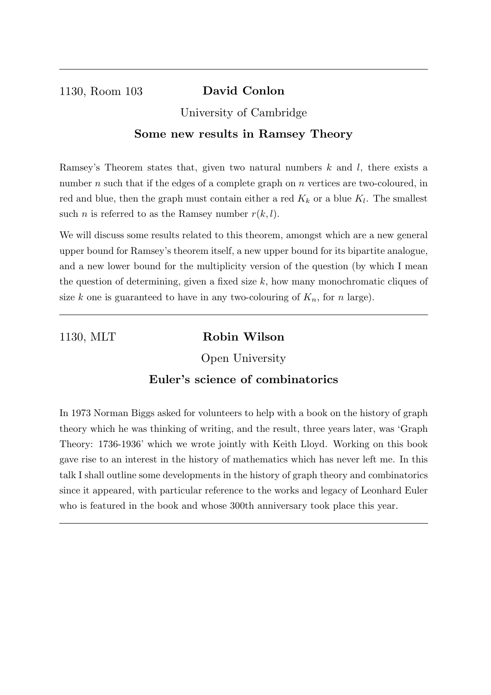1130, Room 103 David Conlon

# University of Cambridge Some new results in Ramsey Theory

Ramsey's Theorem states that, given two natural numbers  $k$  and  $l$ , there exists a number  $n$  such that if the edges of a complete graph on  $n$  vertices are two-coloured, in red and blue, then the graph must contain either a red  $K_k$  or a blue  $K_l$ . The smallest such *n* is referred to as the Ramsey number  $r(k, l)$ .

We will discuss some results related to this theorem, amongst which are a new general upper bound for Ramsey's theorem itself, a new upper bound for its bipartite analogue, and a new lower bound for the multiplicity version of the question (by which I mean the question of determining, given a fixed size  $k$ , how many monochromatic cliques of size k one is guaranteed to have in any two-colouring of  $K_n$ , for n large).

# 1130, MLT Robin Wilson

Open University

# Euler's science of combinatorics

In 1973 Norman Biggs asked for volunteers to help with a book on the history of graph theory which he was thinking of writing, and the result, three years later, was 'Graph Theory: 1736-1936' which we wrote jointly with Keith Lloyd. Working on this book gave rise to an interest in the history of mathematics which has never left me. In this talk I shall outline some developments in the history of graph theory and combinatorics since it appeared, with particular reference to the works and legacy of Leonhard Euler who is featured in the book and whose 300th anniversary took place this year.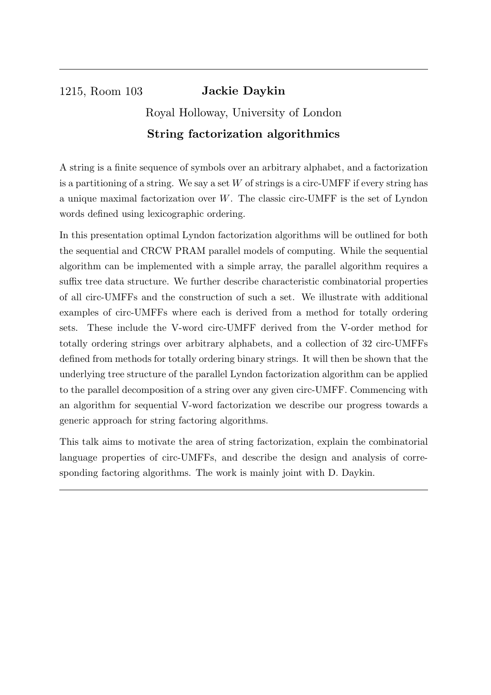# 1215, Room 103 Jackie Daykin Royal Holloway, University of London String factorization algorithmics

A string is a finite sequence of symbols over an arbitrary alphabet, and a factorization is a partitioning of a string. We say a set  $W$  of strings is a circ-UMFF if every string has a unique maximal factorization over  $W$ . The classic circ-UMFF is the set of Lyndon words defined using lexicographic ordering.

In this presentation optimal Lyndon factorization algorithms will be outlined for both the sequential and CRCW PRAM parallel models of computing. While the sequential algorithm can be implemented with a simple array, the parallel algorithm requires a suffix tree data structure. We further describe characteristic combinatorial properties of all circ-UMFFs and the construction of such a set. We illustrate with additional examples of circ-UMFFs where each is derived from a method for totally ordering sets. These include the V-word circ-UMFF derived from the V-order method for totally ordering strings over arbitrary alphabets, and a collection of 32 circ-UMFFs defined from methods for totally ordering binary strings. It will then be shown that the underlying tree structure of the parallel Lyndon factorization algorithm can be applied to the parallel decomposition of a string over any given circ-UMFF. Commencing with an algorithm for sequential V-word factorization we describe our progress towards a generic approach for string factoring algorithms.

This talk aims to motivate the area of string factorization, explain the combinatorial language properties of circ-UMFFs, and describe the design and analysis of corresponding factoring algorithms. The work is mainly joint with D. Daykin.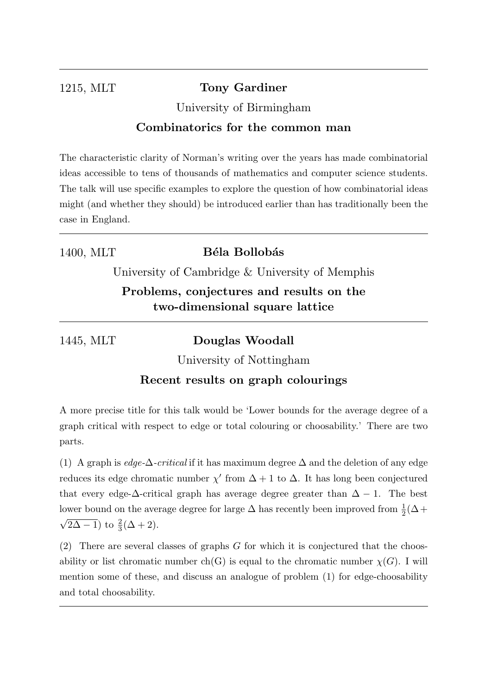# 1215, MLT Tony Gardiner University of Birmingham

# Combinatorics for the common man

The characteristic clarity of Norman's writing over the years has made combinatorial ideas accessible to tens of thousands of mathematics and computer science students. The talk will use specific examples to explore the question of how combinatorial ideas might (and whether they should) be introduced earlier than has traditionally been the case in England.

# 1400, MLT Béla Bollobás

University of Cambridge & University of Memphis

# Problems, conjectures and results on the two-dimensional square lattice

# 1445, MLT Douglas Woodall

University of Nottingham

# Recent results on graph colourings

A more precise title for this talk would be 'Lower bounds for the average degree of a graph critical with respect to edge or total colouring or choosability.' There are two parts.

(1) A graph is  $edge-\Delta-critical$  if it has maximum degree  $\Delta$  and the deletion of any edge reduces its edge chromatic number  $\chi'$  from  $\Delta + 1$  to  $\Delta$ . It has long been conjectured that every edge- $\Delta$ -critical graph has average degree greater than  $\Delta - 1$ . The best lower bound on the average degree for large  $\Delta$  has recently been improved from  $\frac{1}{2}(\Delta +$  $\sqrt{2\Delta-1}$ ) to  $\frac{2}{3}(\Delta+2)$ .

(2) There are several classes of graphs G for which it is conjectured that the choosability or list chromatic number ch(G) is equal to the chromatic number  $\chi(G)$ . I will mention some of these, and discuss an analogue of problem (1) for edge-choosability and total choosability.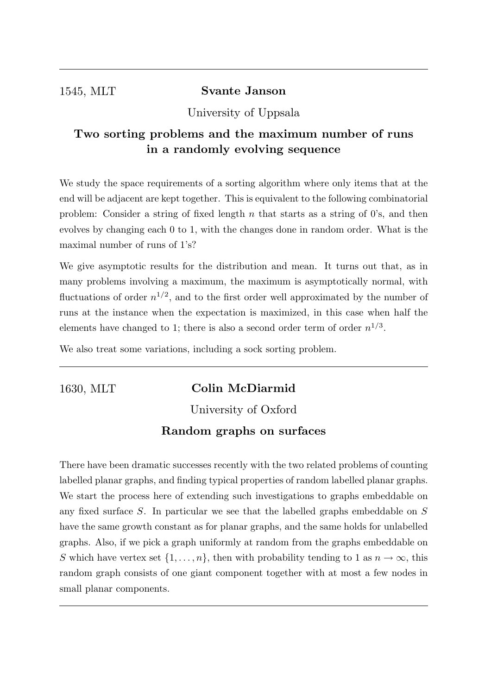# 1545, MLT Svante Janson

University of Uppsala

# Two sorting problems and the maximum number of runs in a randomly evolving sequence

We study the space requirements of a sorting algorithm where only items that at the end will be adjacent are kept together. This is equivalent to the following combinatorial problem: Consider a string of fixed length n that starts as a string of 0's, and then evolves by changing each 0 to 1, with the changes done in random order. What is the maximal number of runs of 1's?

We give asymptotic results for the distribution and mean. It turns out that, as in many problems involving a maximum, the maximum is asymptotically normal, with fluctuations of order  $n^{1/2}$ , and to the first order well approximated by the number of runs at the instance when the expectation is maximized, in this case when half the elements have changed to 1; there is also a second order term of order  $n^{1/3}$ .

We also treat some variations, including a sock sorting problem.

# 1630, MLT Colin McDiarmid

University of Oxford

# Random graphs on surfaces

There have been dramatic successes recently with the two related problems of counting labelled planar graphs, and finding typical properties of random labelled planar graphs. We start the process here of extending such investigations to graphs embeddable on any fixed surface S. In particular we see that the labelled graphs embeddable on S have the same growth constant as for planar graphs, and the same holds for unlabelled graphs. Also, if we pick a graph uniformly at random from the graphs embeddable on S which have vertex set  $\{1,\ldots,n\}$ , then with probability tending to 1 as  $n \to \infty$ , this random graph consists of one giant component together with at most a few nodes in small planar components.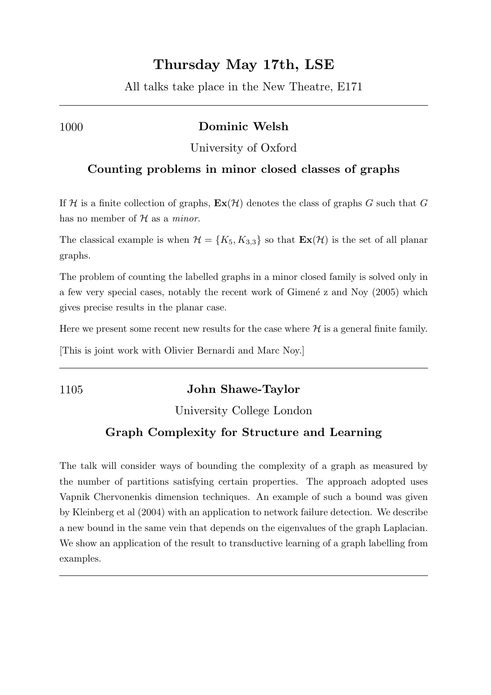# Thursday May 17th, LSE

All talks take place in the New Theatre, E171

# 1000 Dominic Welsh

University of Oxford

#### Counting problems in minor closed classes of graphs

If H is a finite collection of graphs,  $\mathbf{Ex}(\mathcal{H})$  denotes the class of graphs G such that G has no member of  $H$  as a *minor*.

The classical example is when  $\mathcal{H} = \{K_5, K_{3,3}\}\$  so that  $\mathbf{Ex}(\mathcal{H})$  is the set of all planar graphs.

The problem of counting the labelled graphs in a minor closed family is solved only in a few very special cases, notably the recent work of Gimené z and Noy (2005) which gives precise results in the planar case.

Here we present some recent new results for the case where  $H$  is a general finite family.

[This is joint work with Olivier Bernardi and Marc Noy.]

# 1105 John Shawe-Taylor

University College London

# Graph Complexity for Structure and Learning

The talk will consider ways of bounding the complexity of a graph as measured by the number of partitions satisfying certain properties. The approach adopted uses Vapnik Chervonenkis dimension techniques. An example of such a bound was given by Kleinberg et al (2004) with an application to network failure detection. We describe a new bound in the same vein that depends on the eigenvalues of the graph Laplacian. We show an application of the result to transductive learning of a graph labelling from examples.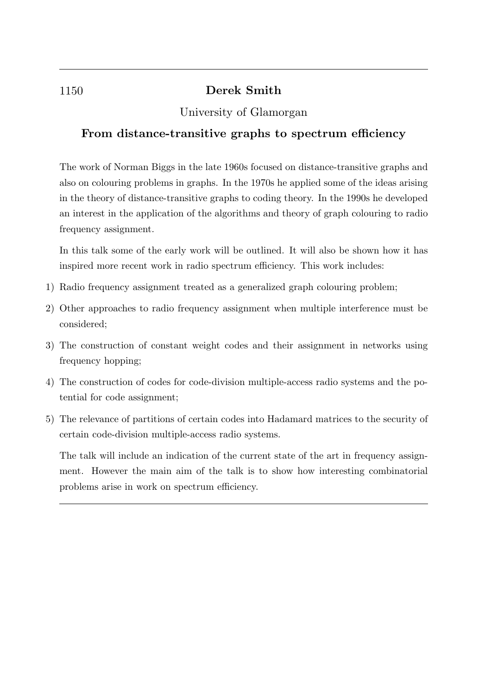# 1150 Derek Smith

# University of Glamorgan

# From distance-transitive graphs to spectrum efficiency

The work of Norman Biggs in the late 1960s focused on distance-transitive graphs and also on colouring problems in graphs. In the 1970s he applied some of the ideas arising in the theory of distance-transitive graphs to coding theory. In the 1990s he developed an interest in the application of the algorithms and theory of graph colouring to radio frequency assignment.

In this talk some of the early work will be outlined. It will also be shown how it has inspired more recent work in radio spectrum efficiency. This work includes:

- 1) Radio frequency assignment treated as a generalized graph colouring problem;
- 2) Other approaches to radio frequency assignment when multiple interference must be considered;
- 3) The construction of constant weight codes and their assignment in networks using frequency hopping;
- 4) The construction of codes for code-division multiple-access radio systems and the potential for code assignment;
- 5) The relevance of partitions of certain codes into Hadamard matrices to the security of certain code-division multiple-access radio systems.

The talk will include an indication of the current state of the art in frequency assignment. However the main aim of the talk is to show how interesting combinatorial problems arise in work on spectrum efficiency.